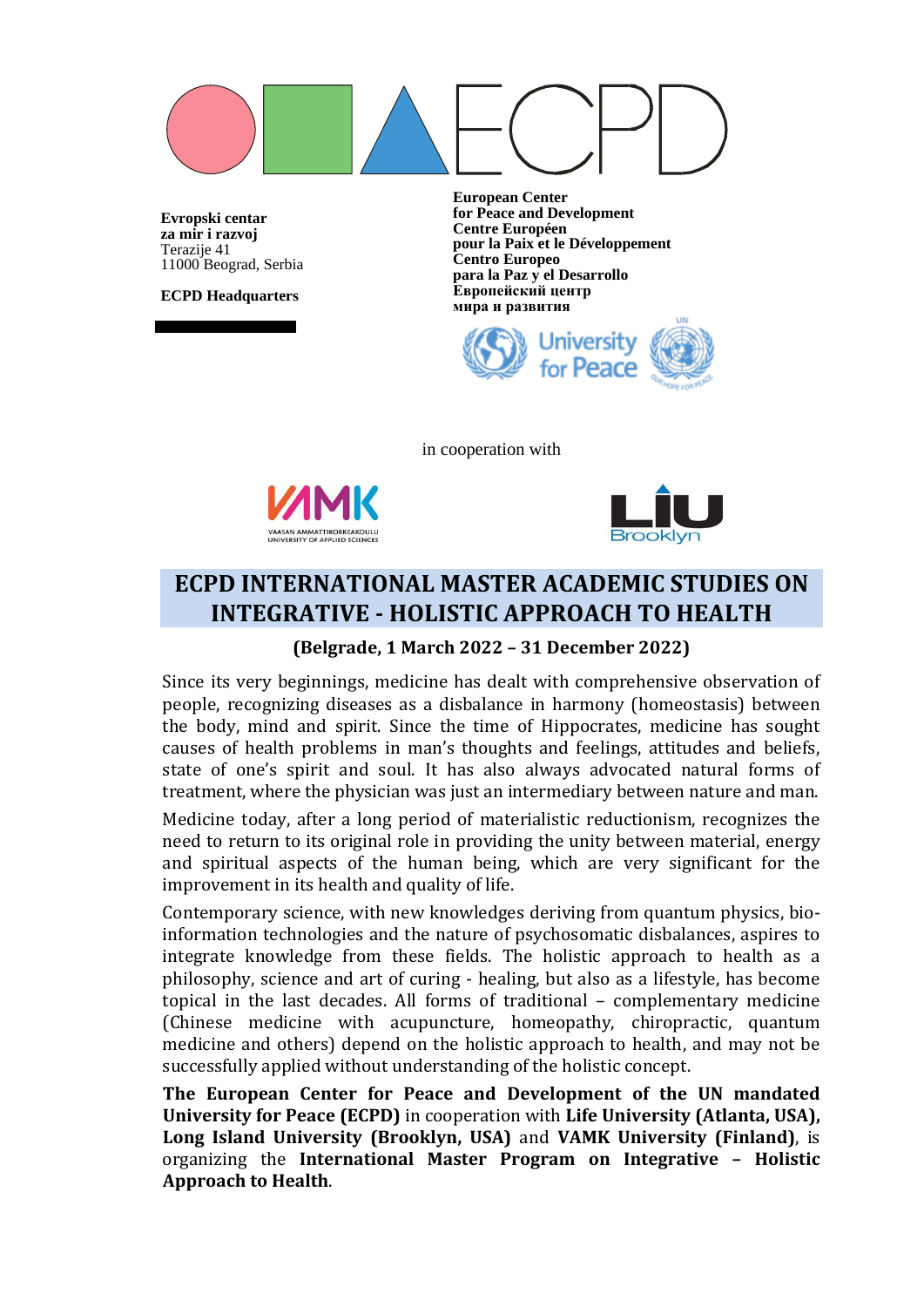

**Evropski centar za mir i razvoj** Terazije 41 11000 Beograd, Serbia

**ECPD Headquarters**

**European Center for Peace and Development Centre Européen pour la Paix et le Développement Centro Europeo para la Paz y el Desarrollo Европейский центр мира и развития**



in cooperation with





# **ECPD INTERNATIONAL MASTER ACADEMIC STUDIES ON INTEGRATIVE - HOLISTIC APPROACH TO HEALTH**

### **(Belgrade, 1 March 2022 – 31 December 2022)**

Since its very beginnings, medicine has dealt with comprehensive observation of people, recognizing diseases as a disbalance in harmony (homeostasis) between the body, mind and spirit. Since the time of Hippocrates, medicine has sought causes of health problems in man's thoughts and feelings, attitudes and beliefs, state of one's spirit and soul. It has also always advocated natural forms of treatment, where the physician was just an intermediary between nature and man.

Medicine today, after a long period of materialistic reductionism, recognizes the need to return to its original role in providing the unity between material, energy and spiritual aspects of the human being, which are very significant for the improvement in its health and quality of life.

Contemporary science, with new knowledges deriving from quantum physics, bioinformation technologies and the nature of psychosomatic disbalances, aspires to integrate knowledge from these fields. The holistic approach to health as a philosophy, science and art of curing - healing, but also as a lifestyle, has become topical in the last decades. All forms of traditional – complementary medicine (Chinese medicine with acupuncture, homeopathy, chiropractic, quantum medicine and others) depend on the holistic approach to health, and may not be successfully applied without understanding of the holistic concept.

**The European Center for Peace and Development of the UN mandated University for Peace (ECPD)** in cooperation with **Life University (Atlanta, USA), Long Island University (Brooklyn, USA)** and **VAMK University (Finland)**, is organizing the **International Master Program on Integrative – Holistic Approach to Health**.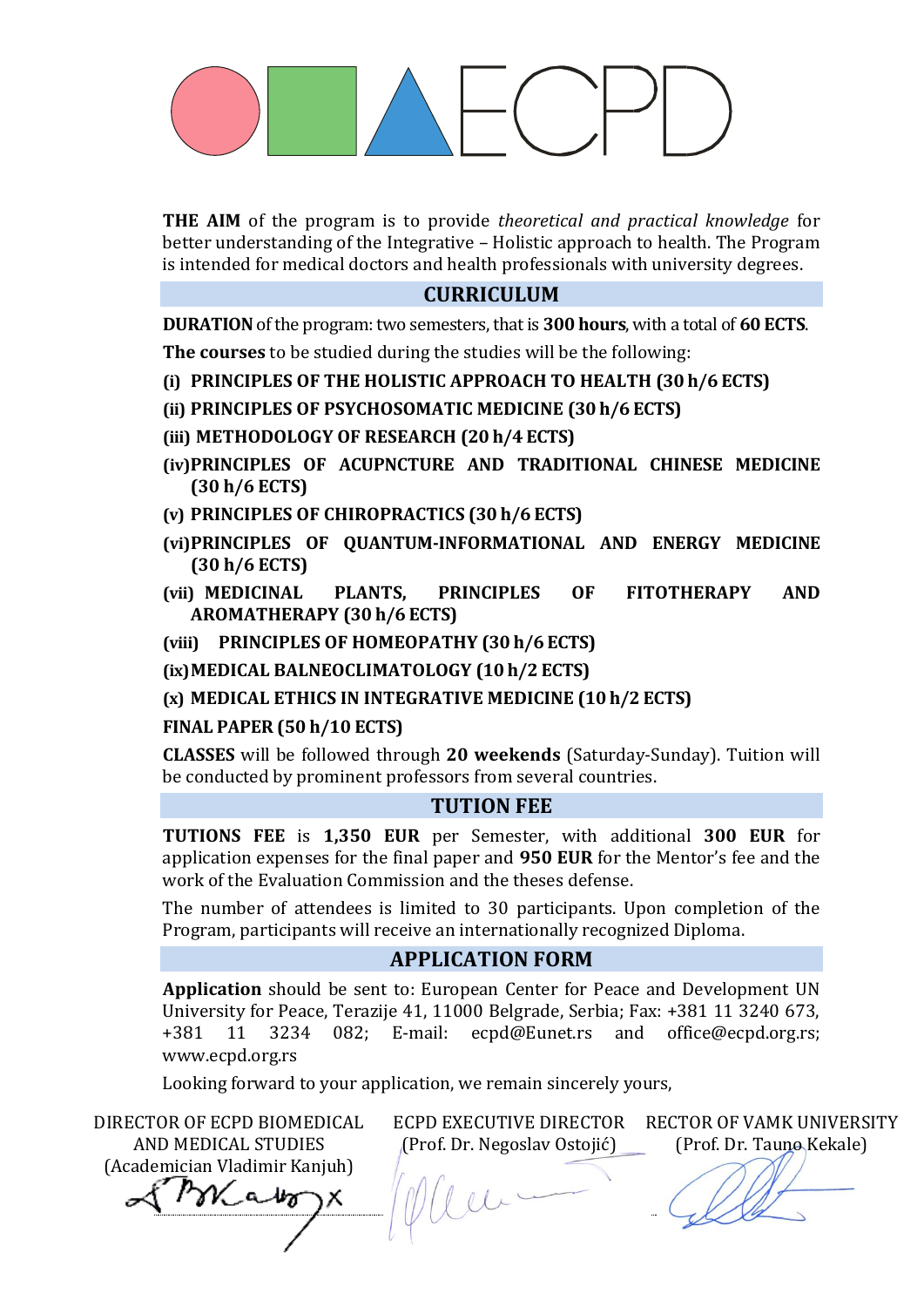**THE AIM** of the program is to provide *theoretical and practical knowledge* for better understanding of the Integrative – Holistic approach to health. The Program is intended for medical doctors and health professionals with university degrees.

## **CURRICULUM**

**DURATION** of the program: two semesters, that is **300 hours**, with a total of 60 ECTS. **The courses** to be studied during the studies will be the following:

- **(i) PRINCIPLES OF THE HOLISTIC APPROACH TO HEALTH (30 h/6 ECTS)**
- **(ii) PRINCIPLES OF PSYCHOSOMATIC MEDICINE (30 h/6 ECTS)**
- **(iii) METHODOLOGY OF RESEARCH (20 h/4 ECTS)**
- **(iv)PRINCIPLES OF ACUPNCTURE AND TRADITIONAL CHINESE MEDICINE (30 h/6 ECTS)**
- **(v) PRINCIPLES OF CHIROPRACTICS (30 h/6 ECTS)**
- **(vi)PRINCIPLES OF QUANTUM-INFORMATIONAL AND ENERGY MEDICINE (30 h/6 ECTS)**
- **(vii) MEDICINAL PLANTS, PRINCIPLES OF FITOTHERAPY AND AROMATHERAPY (30 h/6 ECTS)**
- **(viii) PRINCIPLES OF HOMEOPATHY (30 h/6 ECTS)**

**(ix)MEDICAL BALNEOCLIMATOLOGY (10 h/2 ECTS)** 

**(x) MEDICAL ETHICS IN INTEGRATIVE MEDICINE (10 h/2 ECTS)** 

## **FINAL PAPER (50 h/10 ECTS)**

**CLASSES** will be followed through **20 weekends** (Saturday-Sunday). Tuition will be conducted by prominent professors from several countries.

### **TUTION FEE**

**TUTIONS FEE** is **1,350 EUR** per Semester, with additional **300 EUR** for application expenses for the final paper and **950 EUR** for the Mentor's fee and the work of the Evaluation Commission and the theses defense.

The number of attendees is limited to 30 participants. Upon completion of the Program, participants will receive an internationally recognized Diploma.

## **APPLICATION FORM**

**Application** should be sent to: European Center for Peace and Development UN University for Peace, Terazije 41, 11000 Belgrade, Serbia; Fax: +381 11 3240 673, +381 11 3234 082; E-mail: [ecpd@Eunet.r](mailto:ecpd@Eunet.)s and [office@ecpd.org.rs;](mailto:office@ecpd.org.rs) [www.ecpd.org.rs](http://www.ecpd.org.rs/)

Looking forward to your application, we remain sincerely yours,

DIRECTOR OF ECPD BIOMEDICAL ECPD EXECUTIVE DIRECTOR RECTOR OF VAMK UNIVERSITY AND MEDICAL STUDIES (Prof. Dr. Negoslav Ostojić) (Prof. Dr. Tauno Kekale) (Academician Vladimir Kanjuh) Kabo  $l\omega$